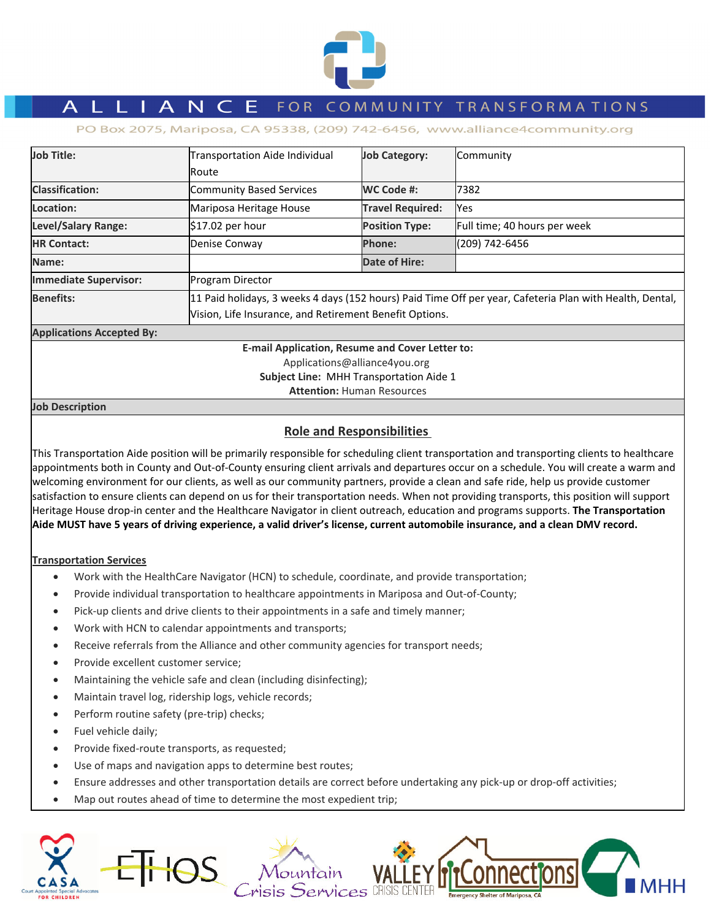

# L L I A N C E FOR COMMUNITY TRANSFORMATIONS

PO Box 2075, Mariposa, CA 95338, (209) 742-6456, www.alliance4community.org

| <b>Job Title:</b>                                      | Transportation Aide Individual                                                                           | <b>Job Category:</b>    | Community                    |  |  |
|--------------------------------------------------------|----------------------------------------------------------------------------------------------------------|-------------------------|------------------------------|--|--|
|                                                        | lRoute                                                                                                   |                         |                              |  |  |
| <b>Classification:</b>                                 | Community Based Services                                                                                 | WC Code #:              | 7382                         |  |  |
| Location:                                              | Mariposa Heritage House                                                                                  | <b>Travel Required:</b> | Yes                          |  |  |
| <b>Level/Salary Range:</b>                             | $$17.02$ per hour                                                                                        | <b>Position Type:</b>   | Full time; 40 hours per week |  |  |
| <b>HR Contact:</b>                                     | Denise Conway                                                                                            | <b>Phone:</b>           | (209) 742-6456               |  |  |
| Name:                                                  |                                                                                                          | <b>Date of Hire:</b>    |                              |  |  |
| <b>Immediate Supervisor:</b>                           | Program Director                                                                                         |                         |                              |  |  |
| <b>Benefits:</b>                                       | 11 Paid holidays, 3 weeks 4 days (152 hours) Paid Time Off per year, Cafeteria Plan with Health, Dental, |                         |                              |  |  |
|                                                        | Vision, Life Insurance, and Retirement Benefit Options.                                                  |                         |                              |  |  |
| <b>Applications Accepted By:</b>                       |                                                                                                          |                         |                              |  |  |
| <b>E-mail Application, Resume and Cover Letter to:</b> |                                                                                                          |                         |                              |  |  |
| Applications@alliance4you.org                          |                                                                                                          |                         |                              |  |  |
| Subject Line: MHH Transportation Aide 1                |                                                                                                          |                         |                              |  |  |

**Attention:** Human Resources

**Job Description**

# **Role and Responsibilities**

This Transportation Aide position will be primarily responsible for scheduling client transportation and transporting clients to healthcare appointments both in County and Out‐of‐County ensuring client arrivals and departures occur on a schedule. You will create a warm and welcoming environment for our clients, as well as our community partners, provide a clean and safe ride, help us provide customer satisfaction to ensure clients can depend on us for their transportation needs. When not providing transports, this position will support Heritage House drop‐in center and the Healthcare Navigator in client outreach, education and programs supports. **The Transportation** Aide MUST have 5 years of driving experience, a valid driver's license, current automobile insurance, and a clean DMV record.

## **Transportation Services**

- Work with the HealthCare Navigator (HCN) to schedule, coordinate, and provide transportation;
- Provide individual transportation to healthcare appointments in Mariposa and Out-of-County;
- Pick-up clients and drive clients to their appointments in a safe and timely manner;
- Work with HCN to calendar appointments and transports;
- Receive referrals from the Alliance and other community agencies for transport needs;
- Provide excellent customer service:
- Maintaining the vehicle safe and clean (including disinfecting);
- Maintain travel log, ridership logs, vehicle records;
- Perform routine safety (pre-trip) checks;
- Fuel vehicle daily;
- Provide fixed‐route transports, as requested;
- Use of maps and navigation apps to determine best routes;
- Ensure addresses and other transportation details are correct before undertaking any pick‐up or drop‐off activities;
- Map out routes ahead of time to determine the most expedient trip;

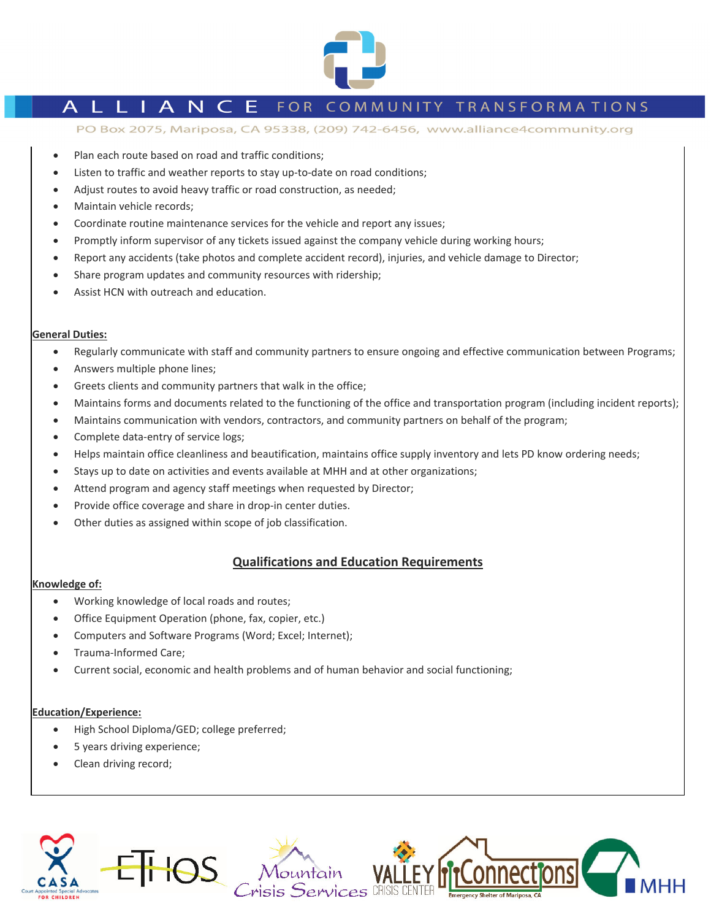

# L L I A N C E FOR COMMUNITY TRANSFORMATIONS

PO Box 2075, Mariposa, CA 95338, (209) 742-6456, www.alliance4community.org

- Plan each route based on road and traffic conditions;
- Listen to traffic and weather reports to stay up-to-date on road conditions;
- Adjust routes to avoid heavy traffic or road construction, as needed;
- Maintain vehicle records;
- Coordinate routine maintenance services for the vehicle and report any issues;
- Promptly inform supervisor of any tickets issued against the company vehicle during working hours;
- Report any accidents (take photos and complete accident record), injuries, and vehicle damage to Director;
- Share program updates and community resources with ridership;
- Assist HCN with outreach and education.

### **General Duties:**

- Regularly communicate with staff and community partners to ensure ongoing and effective communication between Programs;
- Answers multiple phone lines;
- Greets clients and community partners that walk in the office;
- Maintains forms and documents related to the functioning of the office and transportation program (including incident reports);
- Maintains communication with vendors, contractors, and community partners on behalf of the program;
- Complete data-entry of service logs;
- Helps maintain office cleanliness and beautification, maintains office supply inventory and lets PD know ordering needs;
- Stays up to date on activities and events available at MHH and at other organizations;
- Attend program and agency staff meetings when requested by Director;
- Provide office coverage and share in drop‐in center duties.
- Other duties as assigned within scope of job classification.

# **Qualifications and Education Requirements**

#### **Knowledge of:**

- Working knowledge of local roads and routes;
- Office Equipment Operation (phone, fax, copier, etc.)
- Computers and Software Programs (Word; Excel; Internet);
- Trauma‐Informed Care;
- Current social, economic and health problems and of human behavior and social functioning;

#### **Education/Experience:**

- High School Diploma/GED; college preferred;
- 5 years driving experience;
- Clean driving record;

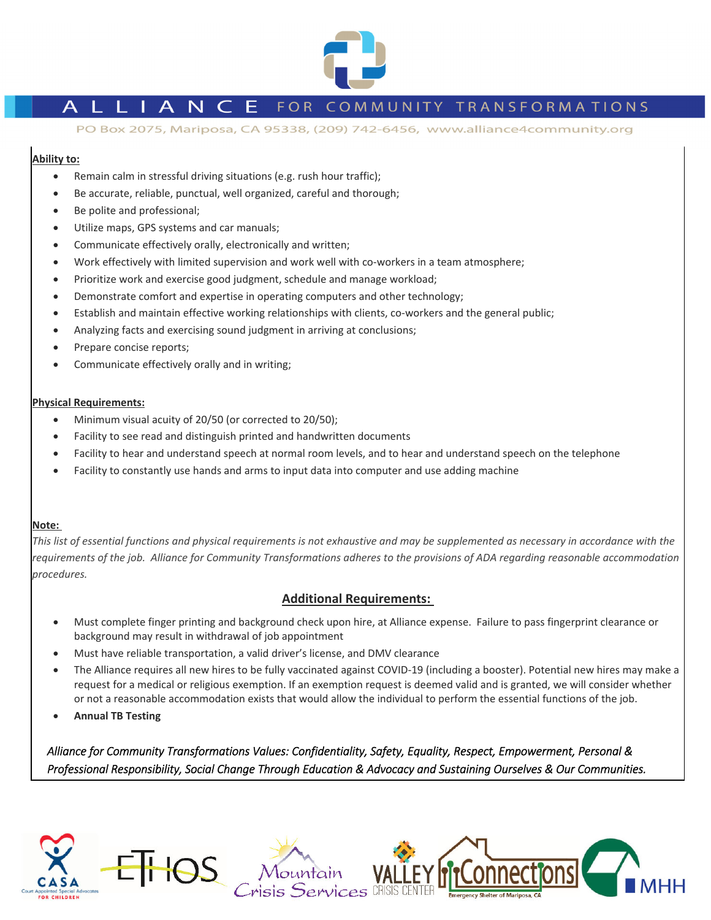

# L I A N C E FOR COMMUNITY TRANSFORMATIONS

PO Box 2075, Mariposa, CA 95338, (209) 742-6456, www.alliance4community.org

## **Ability to:**

- Remain calm in stressful driving situations (e.g. rush hour traffic);
- Be accurate, reliable, punctual, well organized, careful and thorough;
- Be polite and professional;
- Utilize maps, GPS systems and car manuals;
- Communicate effectively orally, electronically and written;
- Work effectively with limited supervision and work well with co-workers in a team atmosphere;
- Prioritize work and exercise good judgment, schedule and manage workload;
- Demonstrate comfort and expertise in operating computers and other technology;
- Establish and maintain effective working relationships with clients, co-workers and the general public;
- Analyzing facts and exercising sound judgment in arriving at conclusions;
- Prepare concise reports;
- Communicate effectively orally and in writing;

## **Physical Requirements:**

- Minimum visual acuity of 20/50 (or corrected to 20/50);
- Facility to see read and distinguish printed and handwritten documents
- Facility to hear and understand speech at normal room levels, and to hear and understand speech on the telephone
- Facility to constantly use hands and arms to input data into computer and use adding machine

## **Note:**

This list of essential functions and physical requirements is not exhaustive and may be supplemented as necessary in accordance with the requirements of the job. Alliance for Community Transformations adheres to the provisions of ADA regarding reasonable accommodation *procedures.* 

# **Additional Requirements:**

- Must complete finger printing and background check upon hire, at Alliance expense. Failure to pass fingerprint clearance or background may result in withdrawal of job appointment
- Must have reliable transportation, a valid driver's license, and DMV clearance
- The Alliance requires all new hires to be fully vaccinated against COVID-19 (including a booster). Potential new hires may make a request for a medical or religious exemption. If an exemption request is deemed valid and is granted, we will consider whether or not a reasonable accommodation exists that would allow the individual to perform the essential functions of the job.
- **Annual TB Testing**

Alliance for Community Transformations Values: Confidentiality, Safety, Equality, Respect, Empowerment, Personal & Professional Responsibility, Social Change Through Education & Advocacy and Sustaining Ourselves & Our Communities.